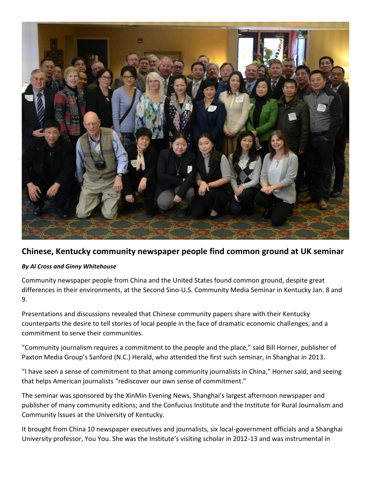

## **Chinese, Kentucky community newspaper people find common ground at UK seminar**

## *By Al Cross and Ginny Whitehouse*

Community newspaper people from China and the United States found common ground, despite great differences in their environments, at the Second Sino-U.S. Community Media Seminar in Kentucky Jan. 8 and 9.

Presentations and discussions revealed that Chinese community papers share with their Kentucky counterparts the desire to tell stories of local people in the face of dramatic economic challenges, and a commitment to serve their communities.

"Community journalism requires a commitment to the people and the place," said Bill Horner, publisher of Paxton Media Group's Sanford (N.C.) Herald, who attended the first such seminar, in Shanghai in 2013.

"I have seen a sense of commitment to that among community journalists in China," Horner said, and seeing that helps American journalists "rediscover our own sense of commitment."

The seminar was sponsored by the XinMin Evening News, Shanghai's largest afternoon newspaper and publisher of many community editions; and the Confucius Institute and the Institute for Rural Journalism and Community Issues at the University of Kentucky.

It brought from China 10 newspaper executives and journalists, six local-government officials and a Shanghai University professor, You You. She was the Institute's visiting scholar in 2012-13 and was instrumental in